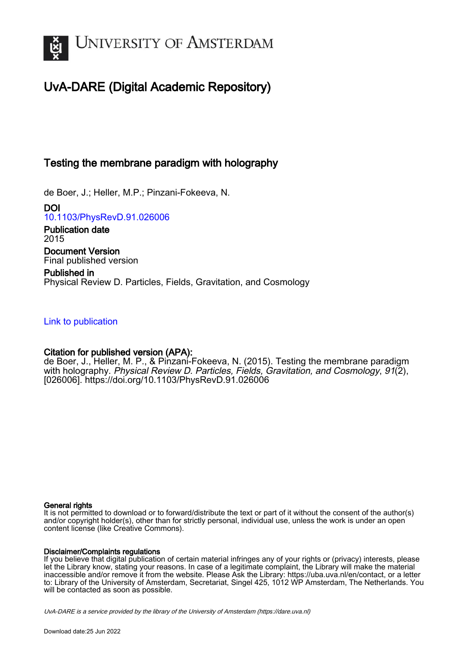

# UvA-DARE (Digital Academic Repository)

## Testing the membrane paradigm with holography

de Boer, J.; Heller, M.P.; Pinzani-Fokeeva, N.

DOI [10.1103/PhysRevD.91.026006](https://doi.org/10.1103/PhysRevD.91.026006)

Publication date 2015 Document Version Final published version

Published in Physical Review D. Particles, Fields, Gravitation, and Cosmology

## [Link to publication](https://dare.uva.nl/personal/pure/en/publications/testing-the-membrane-paradigm-with-holography(e21a8717-3f5e-4e9a-9250-528c7b40193e).html)

## Citation for published version (APA):

de Boer, J., Heller, M. P., & Pinzani-Fokeeva, N. (2015). Testing the membrane paradigm with holography. Physical Review D. Particles, Fields, Gravitation, and Cosmology, 91(2), [026006].<https://doi.org/10.1103/PhysRevD.91.026006>

## General rights

It is not permitted to download or to forward/distribute the text or part of it without the consent of the author(s) and/or copyright holder(s), other than for strictly personal, individual use, unless the work is under an open content license (like Creative Commons).

## Disclaimer/Complaints regulations

If you believe that digital publication of certain material infringes any of your rights or (privacy) interests, please let the Library know, stating your reasons. In case of a legitimate complaint, the Library will make the material inaccessible and/or remove it from the website. Please Ask the Library: https://uba.uva.nl/en/contact, or a letter to: Library of the University of Amsterdam, Secretariat, Singel 425, 1012 WP Amsterdam, The Netherlands. You will be contacted as soon as possible.

UvA-DARE is a service provided by the library of the University of Amsterdam (http*s*://dare.uva.nl)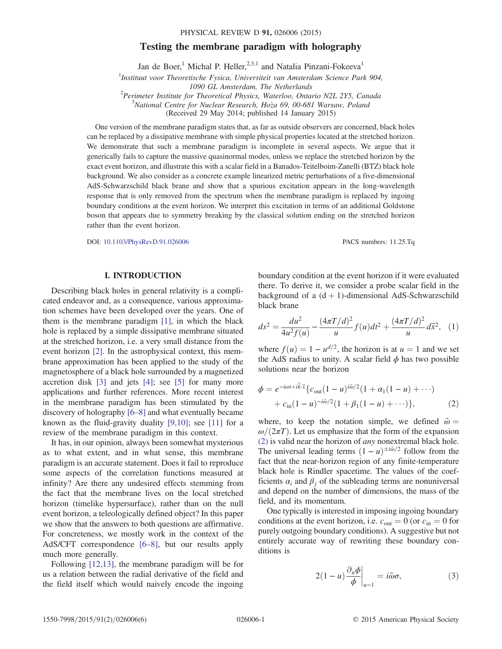#### PHYSICAL REVIEW D 91, 026006 (2015)

## Testing the membrane paradigm with holography

Jan de Boer,<sup>1</sup> Michal P. Heller,<sup>2,3,1</sup> and Natalia Pinzani-Fokeeva<sup>1</sup>

<sup>1</sup>Instituut voor Theoretische Fysica, Universiteit van Amsterdam Science Park 904,

Perimeter Institute for Theoretical Physics, Waterloo, Ontario N2L 2Y5, Canada<br><sup>3</sup>National Centre for Nuglear Bessarsh, Hora 60, 00.681 Warsaw, Boland

 $3$ National Centre for Nuclear Research, Ho $\zeta$ a 69, 00-681 Warsaw, Poland

(Received 29 May 2014; published 14 January 2015)

One version of the membrane paradigm states that, as far as outside observers are concerned, black holes can be replaced by a dissipative membrane with simple physical properties located at the stretched horizon. We demonstrate that such a membrane paradigm is incomplete in several aspects. We argue that it generically fails to capture the massive quasinormal modes, unless we replace the stretched horizon by the exact event horizon, and illustrate this with a scalar field in a Banados-Teitelboim-Zanelli (BTZ) black hole background. We also consider as a concrete example linearized metric perturbations of a five-dimensional AdS-Schwarzschild black brane and show that a spurious excitation appears in the long-wavelength response that is only removed from the spectrum when the membrane paradigm is replaced by ingoing boundary conditions at the event horizon. We interpret this excitation in terms of an additional Goldstone boson that appears due to symmetry breaking by the classical solution ending on the stretched horizon rather than the event horizon.

DOI: [10.1103/PhysRevD.91.026006](http://dx.doi.org/10.1103/PhysRevD.91.026006) PACS numbers: 11.25.Tq

### I. INTRODUCTION

Describing black holes in general relativity is a complicated endeavor and, as a consequence, various approximation schemes have been developed over the years. One of them is the membrane paradigm [\[1\],](#page-5-0) in which the black hole is replaced by a simple dissipative membrane situated at the stretched horizon, i.e. a very small distance from the event horizon [\[2\]](#page-5-1). In the astrophysical context, this membrane approximation has been applied to the study of the magnetosphere of a black hole surrounded by a magnetized accretion disk [\[3\]](#page-5-2) and jets [\[4\];](#page-5-3) see [\[5\]](#page-5-4) for many more applications and further references. More recent interest in the membrane paradigm has been stimulated by the discovery of holography [\[6](#page-5-5)–8] and what eventually became known as the fluid-gravity duality  $[9,10]$ ; see [\[11\]](#page-5-7) for a review of the membrane paradigm in this context.

It has, in our opinion, always been somewhat mysterious as to what extent, and in what sense, this membrane paradigm is an accurate statement. Does it fail to reproduce some aspects of the correlation functions measured at infinity? Are there any undesired effects stemming from the fact that the membrane lives on the local stretched horizon (timelike hypersurface), rather than on the null event horizon, a teleologically defined object? In this paper we show that the answers to both questions are affirmative. For concreteness, we mostly work in the context of the AdS/CFT correspondence [6–[8\],](#page-5-5) but our results apply much more generally.

Following [\[12,13\]](#page-5-8), the membrane paradigm will be for us a relation between the radial derivative of the field and the field itself which would naively encode the ingoing boundary condition at the event horizon if it were evaluated there. To derive it, we consider a probe scalar field in the background of a  $(d + 1)$ -dimensional AdS-Schwarzschild black brane

<span id="page-1-2"></span>
$$
ds^{2} = \frac{du^{2}}{4u^{2} f(u)} - \frac{(4\pi T/d)^{2}}{u} f(u)dt^{2} + \frac{(4\pi T/d)^{2}}{u} d\vec{x}^{2}, \quad (1)
$$

<span id="page-1-0"></span>where  $f(u) = 1 - u^{d/2}$ , the horizon is at  $u = 1$  and we set the AdS radius to unity. A scalar field  $\phi$  has two possible solutions near the horizon

$$
\phi = e^{-i\omega t + i\vec{k}\cdot\vec{x}} \{c_{\text{out}}(1-u)^{i\tilde{\omega}/2} (1 + \alpha_1(1-u) + \cdots) + c_{\text{in}}(1-u)^{-i\tilde{\omega}/2} (1 + \beta_1(1-u) + \cdots) \},
$$
(2)

where, to keep the notation simple, we defined  $\tilde{\omega} =$  $\omega/(2\pi T)$ . Let us emphasize that the form of the expansion [\(2\)](#page-1-0) is valid near the horizon of any nonextremal black hole. The universal leading terms  $(1 - u)^{\pm i\tilde{\omega}/2}$  follow from the fact that the near-horizon region of any finite-temperature black hole is Rindler spacetime. The values of the coefficients  $\alpha_i$  and  $\beta_j$  of the subleading terms are nonuniversal and depend on the number of dimensions, the mass of the field, and its momentum.

<span id="page-1-1"></span>One typically is interested in imposing ingoing boundary conditions at the event horizon, i.e.  $c_{\text{out}} = 0$  (or  $c_{\text{in}} = 0$  for purely outgoing boundary conditions). A suggestive but not entirely accurate way of rewriting these boundary conditions is

$$
2(1-u)\frac{\partial_u \phi}{\phi}\bigg|_{u=1} = i\tilde{\omega}\sigma,\tag{3}
$$

<sup>1090</sup> GL Amsterdam, The Netherlands<br><sup>2</sup> Berimater Institute for Theoratical Physics, Waterloo, Onta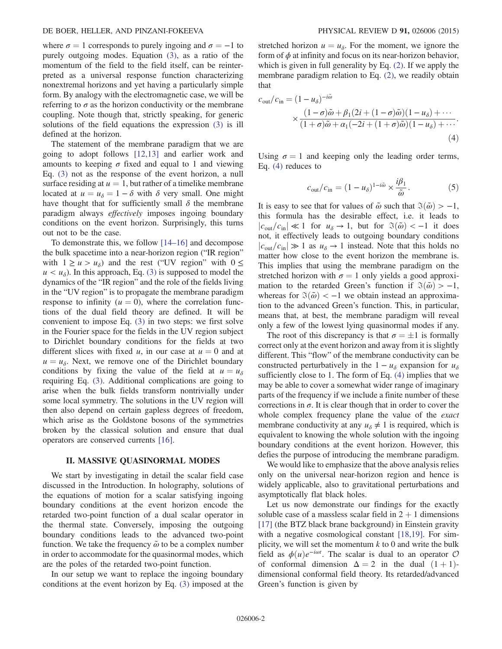where  $\sigma = 1$  corresponds to purely ingoing and  $\sigma = -1$  to purely outgoing modes. Equation [\(3\)](#page-1-1), as a ratio of the momentum of the field to the field itself, can be reinterpreted as a universal response function characterizing nonextremal horizons and yet having a particularly simple form. By analogy with the electromagnetic case, we will be referring to  $\sigma$  as the horizon conductivity or the membrane coupling. Note though that, strictly speaking, for generic solutions of the field equations the expression [\(3\)](#page-1-1) is ill defined at the horizon.

The statement of the membrane paradigm that we are going to adopt follows [\[12,13\]](#page-5-8) and earlier work and amounts to keeping  $\sigma$  fixed and equal to 1 and viewing Eq. [\(3\)](#page-1-1) not as the response of the event horizon, a null surface residing at  $u = 1$ , but rather of a timelike membrane located at  $u = u_{\delta} = 1 - \delta$  with  $\delta$  very small. One might have thought that for sufficiently small  $\delta$  the membrane paradigm always effectively imposes ingoing boundary conditions on the event horizon. Surprisingly, this turns out not to be the case.

To demonstrate this, we follow [14–[16\]](#page-5-9) and decompose the bulk spacetime into a near-horizon region ("IR region" with  $1 \ge u > u_{\delta}$ ) and the rest ("UV region" with  $0 \le$  $u < u_{\delta}$ ). In this approach, Eq. [\(3\)](#page-1-1) is supposed to model the dynamics of the "IR region" and the role of the fields living in the "UV region" is to propagate the membrane paradigm response to infinity ( $u = 0$ ), where the correlation functions of the dual field theory are defined. It will be convenient to impose Eq. [\(3\)](#page-1-1) in two steps: we first solve in the Fourier space for the fields in the UV region subject to Dirichlet boundary conditions for the fields at two different slices with fixed u, in our case at  $u = 0$  and at  $u = u_{\delta}$ . Next, we remove one of the Dirichlet boundary conditions by fixing the value of the field at  $u = u_{\delta}$ requiring Eq. [\(3\)](#page-1-1). Additional complications are going to arise when the bulk fields transform nontrivially under some local symmetry. The solutions in the UV region will then also depend on certain gapless degrees of freedom, which arise as the Goldstone bosons of the symmetries broken by the classical solution and ensure that dual operators are conserved currents [\[16\]](#page-5-10).

#### II. MASSIVE QUASINORMAL MODES

We start by investigating in detail the scalar field case discussed in the Introduction. In holography, solutions of the equations of motion for a scalar satisfying ingoing boundary conditions at the event horizon encode the retarded two-point function of a dual scalar operator in the thermal state. Conversely, imposing the outgoing boundary conditions leads to the advanced two-point function. We take the frequency  $\tilde{\omega}$  to be a complex number in order to accommodate for the quasinormal modes, which are the poles of the retarded two-point function.

In our setup we want to replace the ingoing boundary conditions at the event horizon by Eq. [\(3\)](#page-1-1) imposed at the stretched horizon  $u = u_{\delta}$ . For the moment, we ignore the form of  $\phi$  at infinity and focus on its near-horizon behavior, which is given in full generality by Eq. [\(2\).](#page-1-0) If we apply the membrane paradigm relation to Eq. [\(2\),](#page-1-0) we readily obtain that

<span id="page-2-0"></span>
$$
c_{\text{out}}/c_{\text{in}} = (1 - u_{\delta})^{-i\tilde{\omega}}
$$
  
 
$$
\times \frac{(1 - \sigma)\tilde{\omega} + \beta_1(2i + (1 - \sigma)\tilde{\omega})(1 - u_{\delta}) + \cdots}{(1 + \sigma)\tilde{\omega} + \alpha_1(-2i + (1 + \sigma)\tilde{\omega})(1 - u_{\delta}) + \cdots}.
$$
  
(4)

<span id="page-2-2"></span>Using  $\sigma = 1$  and keeping only the leading order terms, Eq. [\(4\)](#page-2-0) reduces to

$$
c_{\text{out}}/c_{\text{in}} = (1 - u_{\delta})^{1 - i\tilde{\omega}} \times \frac{i\beta_1}{\tilde{\omega}}.
$$
 (5)

It is easy to see that for values of  $\tilde{\omega}$  such that  $\Im(\tilde{\omega}) > -1$ , this formula has the desirable effect, i.e. it leads to  $|c_{\text{out}}/c_{\text{in}}| \ll 1$  for  $u_{\delta} \to 1$ , but for  $\Im(\tilde{\omega}) < -1$  it does not, it effectively leads to outgoing boundary conditions  $|c_{\text{out}}/c_{\text{in}}| \gg 1$  as  $u_{\delta} \rightarrow 1$  instead. Note that this holds no matter how close to the event horizon the membrane is. This implies that using the membrane paradigm on the stretched horizon with  $\sigma = 1$  only yields a good approximation to the retarded Green's function if  $\Im(\tilde{\omega}) > -1$ , whereas for  $\Im(\tilde{\omega}) < -1$  we obtain instead an approximation to the advanced Green's function. This, in particular, means that, at best, the membrane paradigm will reveal only a few of the lowest lying quasinormal modes if any.

The root of this discrepancy is that  $\sigma = \pm 1$  is formally correct only at the event horizon and away from it is slightly different. This "flow" of the membrane conductivity can be constructed perturbatively in the  $1 - u_{\delta}$  expansion for  $u_{\delta}$ sufficiently close to 1. The form of Eq. [\(4\)](#page-2-0) implies that we may be able to cover a somewhat wider range of imaginary parts of the frequency if we include a finite number of these corrections in  $\sigma$ . It is clear though that in order to cover the whole complex frequency plane the value of the *exact* membrane conductivity at any  $u_{\delta} \neq 1$  is required, which is equivalent to knowing the whole solution with the ingoing boundary conditions at the event horizon. However, this defies the purpose of introducing the membrane paradigm.

We would like to emphasize that the above analysis relies only on the universal near-horizon region and hence is widely applicable, also to gravitational perturbations and asymptotically flat black holes.

<span id="page-2-1"></span>Let us now demonstrate our findings for the exactly soluble case of a massless scalar field in  $2 + 1$  dimensions [\[17\]](#page-5-11) (the BTZ black brane background) in Einstein gravity with a negative cosmological constant [\[18,19\].](#page-5-12) For simplicity, we will set the momentum  $k$  to 0 and write the bulk field as  $\phi(u)e^{-i\omega t}$ . The scalar is dual to an operator  $\mathcal O$ <br>of conformal dimension  $\Delta = 2$  in the dual  $(1+1)$ of conformal dimension  $\Delta = 2$  in the dual  $(1 + 1)$ dimensional conformal field theory. Its retarded/advanced Green's function is given by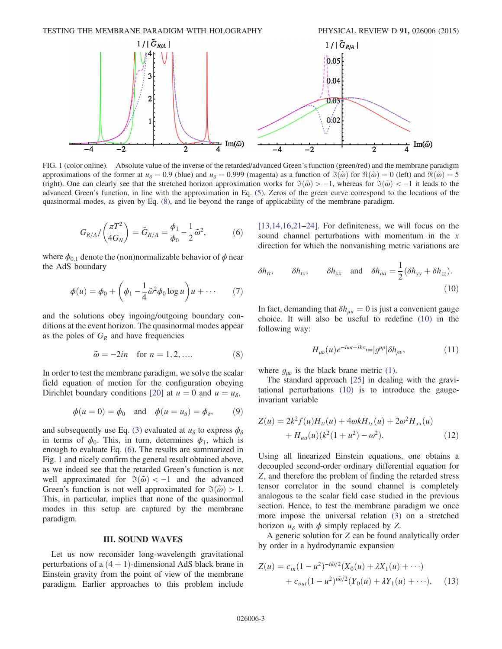<span id="page-3-0"></span>

FIG. 1 (color online). Absolute value of the inverse of the retarded/advanced Green's function (green/red) and the membrane paradigm approximations of the former at  $u_{\delta} = 0.9$  (blue) and  $u_{\delta} = 0.999$  (magenta) as a function of  $\mathfrak{F}(\tilde{\omega})$  for  $\mathfrak{R}(\tilde{\omega}) = 0$  (left) and  $\mathfrak{R}(\tilde{\omega}) = 5$ (right). One can clearly see that the stretched horizon approximation works for  $\Im(\tilde{\omega}) > -1$ , whereas for  $\Im(\tilde{\omega}) < -1$  it leads to the advanced Green's function, in line with the approximation in Eq. [\(5\).](#page-2-2) Zeros of the green curve correspond to the locations of the quasinormal modes, as given by Eq. [\(8\)](#page-3-2), and lie beyond the range of applicability of the membrane paradigm.

$$
G_{R/A}/\left(\frac{\pi T^2}{4G_N}\right) = \tilde{G}_{R/A} = \frac{\phi_1}{\phi_0} - \frac{1}{2}\tilde{\omega}^2, \tag{6}
$$

where  $\phi_{0,1}$  denote the (non)normalizable behavior of  $\phi$  near the AdS boundary

$$
\phi(u) = \phi_0 + \left(\phi_1 - \frac{1}{4}\tilde{\omega}^2\phi_0 \log u\right)u + \cdots \qquad (7)
$$

<span id="page-3-2"></span>and the solutions obey ingoing/outgoing boundary conditions at the event horizon. The quasinormal modes appear as the poles of  $G_R$  and have frequencies

$$
\tilde{\omega} = -2in
$$
 for  $n = 1, 2, ....$  (8)

In order to test the membrane paradigm, we solve the scalar field equation of motion for the configuration obeying Dirichlet boundary conditions [\[20\]](#page-5-13) at  $u = 0$  and  $u = u_{\delta}$ ,

$$
\phi(u = 0) = \phi_0
$$
 and  $\phi(u = u_\delta) = \phi_\delta$ , (9)

and subsequently use Eq. [\(3\)](#page-1-1) evaluated at  $u_{\delta}$  to express  $\phi_{\delta}$ in terms of  $\phi_0$ . This, in turn, determines  $\phi_1$ , which is enough to evaluate Eq. [\(6\).](#page-2-1) The results are summarized in Fig. [1](#page-3-0) and nicely confirm the general result obtained above, as we indeed see that the retarded Green's function is not well approximated for  $\Im(\tilde{\omega}) < -1$  and the advanced Green's function is not well approximated for  $\Im(\tilde{\omega}) > 1$ . This, in particular, implies that none of the quasinormal modes in this setup are captured by the membrane paradigm.

### III. SOUND WAVES

Let us now reconsider long-wavelength gravitational perturbations of a  $(4 + 1)$ -dimensional AdS black brane in Einstein gravity from the point of view of the membrane paradigm. Earlier approaches to this problem include <span id="page-3-1"></span> $[13,14,16,21-24]$  $[13,14,16,21-24]$ . For definiteness, we will focus on the sound channel perturbations with momentum in the  $x$ direction for which the nonvanishing metric variations are

$$
\delta h_{tt}
$$
,  $\delta h_{tx}$ ,  $\delta h_{xx}$  and  $\delta h_{aa} = \frac{1}{2} (\delta h_{yy} + \delta h_{zz})$ . (10)

<span id="page-3-3"></span>In fact, demanding that  $\delta h_{\mu\nu} = 0$  is just a convenient gauge choice. It will also be useful to redefine [\(10\)](#page-3-1) in the following way:

$$
H_{\mu\nu}(u)e^{-i\omega t + ikx} := |g^{\mu\rho}|\delta h_{\rho\nu},\tag{11}
$$

where  $g_{\mu\nu}$  is the black brane metric [\(1\)](#page-1-2).

The standard approach [\[25\]](#page-6-0) in dealing with the gravitational perturbations [\(10\)](#page-3-1) is to introduce the gaugeinvariant variable

$$
Z(u) = 2k^2 f(u)H_{tt}(u) + 4\omega k H_{tx}(u) + 2\omega^2 H_{xx}(u)
$$
  
+  $H_{aa}(u)(k^2(1+u^2) - \omega^2).$  (12)

Using all linearized Einstein equations, one obtains a decoupled second-order ordinary differential equation for Z, and therefore the problem of finding the retarded stress tensor correlator in the sound channel is completely analogous to the scalar field case studied in the previous section. Hence, to test the membrane paradigm we once more impose the universal relation [\(3\)](#page-1-1) on a stretched horizon  $u_{\delta}$  with  $\phi$  simply replaced by Z.

A generic solution for Z can be found analytically order by order in a hydrodynamic expansion

$$
Z(u) = c_{in}(1 - u^2)^{-i\tilde{\omega}/2}(X_0(u) + \lambda X_1(u) + \cdots)
$$
  
+ 
$$
c_{out}(1 - u^2)^{i\tilde{\omega}/2}(Y_0(u) + \lambda Y_1(u) + \cdots), \quad (13)
$$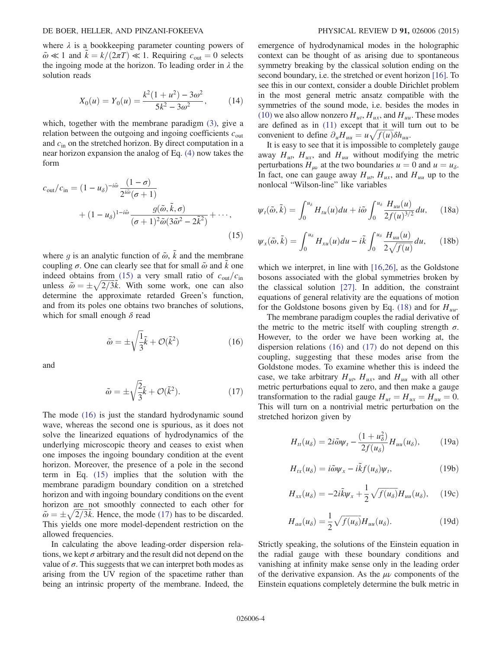where  $\lambda$  is a bookkeeping parameter counting powers of  $\tilde{\omega} \ll 1$  and  $k = k/(2\pi T) \ll 1$ . Requiring  $c_{\text{out}} = 0$  selects the ingoing mode at the horizon. To leading order in  $\lambda$  the solution reads

$$
X_0(u) = Y_0(u) = \frac{k^2(1+u^2) - 3\omega^2}{5k^2 - 3\omega^2},
$$
 (14)

which, together with the membrane paradigm [\(3\)](#page-1-1), give a relation between the outgoing and ingoing coefficients  $c_{\text{out}}$ and  $c_{\text{in}}$  on the stretched horizon. By direct computation in a near horizon expansion the analog of Eq. [\(4\)](#page-2-0) now takes the form

<span id="page-4-0"></span>
$$
c_{\text{out}}/c_{\text{in}} = (1 - u_{\delta})^{-i\tilde{\omega}} \frac{(1 - \sigma)}{2^{i\tilde{\omega}}(\sigma + 1)}
$$

$$
+ (1 - u_{\delta})^{1 - i\tilde{\omega}} \frac{g(\tilde{\omega}, \tilde{k}, \sigma)}{(\sigma + 1)^2 \tilde{\omega} (3\tilde{\omega}^2 - 2\tilde{k}^2)} + \cdots,
$$
(15)

<span id="page-4-1"></span>where g is an analytic function of  $\tilde{\omega}$ ,  $\tilde{k}$  and the membrane coupling  $\sigma$ . One can clearly see that for small  $\tilde{\omega}$  and k one indeed obtains from [\(15\)](#page-4-0) a very small ratio of  $c_{\text{out}}/c_{\text{in}}$ unless  $\tilde{\omega} = \pm \sqrt{2/3\tilde{k}}$ . With some work, one can also<br>determine the approximate retarded Green's function determine the approximate retarded Green's function, and from its poles one obtains two branches of solutions, which for small enough  $\delta$  read

$$
\tilde{\omega} = \pm \sqrt{\frac{1}{3}} \tilde{k} + \mathcal{O}(\tilde{k}^2)
$$
 (16)

<span id="page-4-2"></span>and

$$
\tilde{\omega} = \pm \sqrt{\frac{2}{3}} \tilde{k} + \mathcal{O}(\tilde{k}^2). \tag{17}
$$

The mode [\(16\)](#page-4-1) is just the standard hydrodynamic sound wave, whereas the second one is spurious, as it does not solve the linearized equations of hydrodynamics of the underlying microscopic theory and ceases to exist when one imposes the ingoing boundary condition at the event horizon. Moreover, the presence of a pole in the second term in Eq. [\(15\)](#page-4-0) implies that the solution with the membrane paradigm boundary condition on a stretched horizon and with ingoing boundary conditions on the event horizon are not smoothly connected to each other for  $\tilde{\omega} = \pm \sqrt{2/3} \tilde{k}$ . Hence, the mode [\(17\)](#page-4-2) has to be discarded.<br>This vields one more model-dependent restriction on the This yields one more model-dependent restriction on the allowed frequencies.

In calculating the above leading-order dispersion relations, we kept  $\sigma$  arbitrary and the result did not depend on the value of  $\sigma$ . This suggests that we can interpret both modes as arising from the UV region of the spacetime rather than being an intrinsic property of the membrane. Indeed, the emergence of hydrodynamical modes in the holographic context can be thought of as arising due to spontaneous symmetry breaking by the classical solution ending on the second boundary, i.e. the stretched or event horizon [\[16\]](#page-5-10). To see this in our context, consider a double Dirichlet problem in the most general metric ansatz compatible with the symmetries of the sound mode, i.e. besides the modes in [\(10\)](#page-3-1) we also allow nonzero  $H_{ut}$ ,  $H_{ux}$ , and  $H_{uu}$ . These modes are defined as in [\(11\)](#page-3-3) except that it will turn out to be convenient to define  $\partial_u H_{uu} = u \sqrt{f(u)} \delta h_{uu}$ .<br>It is easy to see that it is impossible to con

It is easy to see that it is impossible to completely gauge away  $H_{ut}$ ,  $H_{ux}$ , and  $H_{uu}$  without modifying the metric perturbations  $H_{\mu\nu}$  at the two boundaries  $u = 0$  and  $u = u_\delta$ . In fact, one can gauge away  $H_{ut}$ ,  $H_{ux}$ , and  $H_{uu}$  up to the nonlocal "Wilson-line" like variables

<span id="page-4-3"></span>
$$
\psi_t(\tilde{\omega}, \tilde{k}) = \int_0^{u_\delta} H_{tu}(u) du + i \tilde{\omega} \int_0^{u_\delta} \frac{H_{uu}(u)}{2f(u)^{3/2}} du, \quad (18a)
$$

$$
\psi_x(\tilde{\omega}, \tilde{k}) = \int_0^{u_\delta} H_{xu}(u) du - i\tilde{k} \int_0^{u_\delta} \frac{H_{uu}(u)}{2\sqrt{f(u)}} du, \qquad (18b)
$$

which we interpret, in line with [\[16,26\],](#page-5-10) as the Goldstone bosons associated with the global symmetries broken by the classical solution [\[27\].](#page-6-1) In addition, the constraint equations of general relativity are the equations of motion for the Goldstone bosons given by Eq. [\(18\)](#page-4-3) and for  $H_{uu}$ .

The membrane paradigm couples the radial derivative of the metric to the metric itself with coupling strength  $\sigma$ . However, to the order we have been working at, the dispersion relations [\(16\)](#page-4-1) and [\(17\)](#page-4-2) do not depend on this coupling, suggesting that these modes arise from the Goldstone modes. To examine whether this is indeed the case, we take arbitrary  $H_{ut}$ ,  $H_{ux}$ , and  $H_{uu}$  with all other metric perturbations equal to zero, and then make a gauge transformation to the radial gauge  $H_{ut} = H_{ux} = H_{uu} = 0$ . This will turn on a nontrivial metric perturbation on the stretched horizon given by

$$
H_{tt}(u_{\delta}) = 2i\tilde{\omega}\psi_t - \frac{(1+u_{\delta}^2)}{2f(u_{\delta})}H_{uu}(u_{\delta}), \qquad (19a)
$$

$$
H_{tx}(u_{\delta}) = i\tilde{\omega}\psi_x - i\tilde{k}f(u_{\delta})\psi_t, \qquad (19b)
$$

$$
H_{xx}(u_{\delta}) = -2i\tilde{k}\psi_x + \frac{1}{2}\sqrt{f(u_{\delta})}H_{uu}(u_{\delta}), \quad (19c)
$$

$$
H_{aa}(u_{\delta}) = \frac{1}{2} \sqrt{f(u_{\delta})} H_{uu}(u_{\delta}).
$$
 (19d)

Strictly speaking, the solutions of the Einstein equation in the radial gauge with these boundary conditions and vanishing at infinity make sense only in the leading order of the derivative expansion. As the  $\mu\nu$  components of the Einstein equations completely determine the bulk metric in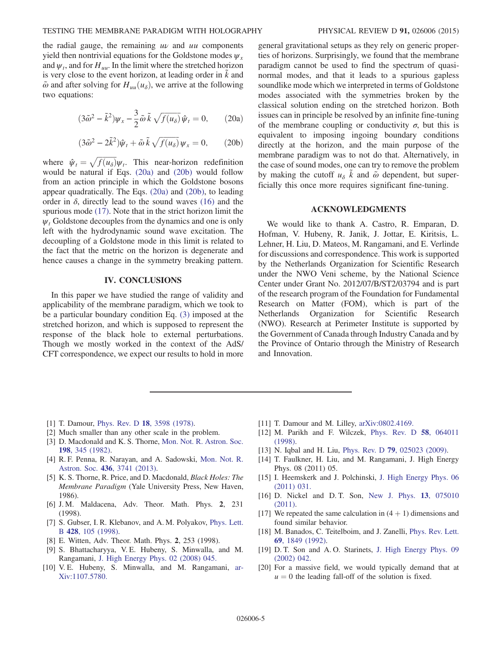#### TESTING THE MEMBRANE PARADIGM WITH HOLOGRAPHY PHYSICAL REVIEW D 91, 026006 (2015)

the radial gauge, the remaining  $uv$  and  $uu$  components yield then nontrivial equations for the Goldstone modes  $\psi_x$ and  $\psi_t$ , and for  $H_{uu}$ . In the limit where the stretched horizon is very close to the event horizon, at leading order in  $k$  and  $\tilde{\omega}$  and after solving for  $H_{uu}(u_{\delta})$ , we arrive at the following two equations:

<span id="page-5-15"></span>
$$
(3\tilde{\omega}^2 - \tilde{k}^2)\psi_x - \frac{3}{2}\tilde{\omega}\tilde{k}\sqrt{f(u_\delta)}\tilde{\psi}_t = 0, \qquad (20a)
$$

$$
(3\tilde{\omega}^2 - 2\tilde{k}^2)\hat{\psi}_t + \tilde{\omega}\,\tilde{k}\,\sqrt{f(u_\delta)}\,\psi_x = 0,\qquad(20b)
$$

<span id="page-5-16"></span>where  $\hat{\psi}_t = \sqrt{f(u_\delta)} \psi_t$ . This near-horizon redefinition<br>would be natural if Eqs. (20a) and (20b) would follow would be natural if Eqs. [\(20a\)](#page-5-15) and [\(20b\)](#page-5-16) would follow from an action principle in which the Goldstone bosons appear quadratically. The Eqs. [\(20a\)](#page-5-15) and [\(20b\)](#page-5-16), to leading order in  $\delta$ , directly lead to the sound waves [\(16\)](#page-4-1) and the spurious mode [\(17\).](#page-4-2) Note that in the strict horizon limit the  $\psi_t$  Goldstone decouples from the dynamics and one is only left with the hydrodynamic sound wave excitation. The decoupling of a Goldstone mode in this limit is related to the fact that the metric on the horizon is degenerate and hence causes a change in the symmetry breaking pattern.

### IV. CONCLUSIONS

In this paper we have studied the range of validity and applicability of the membrane paradigm, which we took to be a particular boundary condition Eq. [\(3\)](#page-1-1) imposed at the stretched horizon, and which is supposed to represent the response of the black hole to external perturbations. Though we mostly worked in the context of the AdS/ CFT correspondence, we expect our results to hold in more general gravitational setups as they rely on generic properties of horizons. Surprisingly, we found that the membrane paradigm cannot be used to find the spectrum of quasinormal modes, and that it leads to a spurious gapless soundlike mode which we interpreted in terms of Goldstone modes associated with the symmetries broken by the classical solution ending on the stretched horizon. Both issues can in principle be resolved by an infinite fine-tuning of the membrane coupling or conductivity  $\sigma$ , but this is equivalent to imposing ingoing boundary conditions directly at the horizon, and the main purpose of the membrane paradigm was to not do that. Alternatively, in the case of sound modes, one can try to remove the problem by making the cutoff  $u_{\delta}$  k and  $\tilde{\omega}$  dependent, but superficially this once more requires significant fine-tuning.

#### ACKNOWLEDGMENTS

We would like to thank A. Castro, R. Emparan, D. Hofman, V. Hubeny, R. Janik, J. Jottar, E. Kiritsis, L. Lehner, H. Liu, D. Mateos, M. Rangamani, and E. Verlinde for discussions and correspondence. This work is supported by the Netherlands Organization for Scientific Research under the NWO Veni scheme, by the National Science Center under Grant No. 2012/07/B/ST2/03794 and is part of the research program of the Foundation for Fundamental Research on Matter (FOM), which is part of the Netherlands Organization for Scientific Research (NWO). Research at Perimeter Institute is supported by the Government of Canada through Industry Canada and by the Province of Ontario through the Ministry of Research and Innovation.

- <span id="page-5-0"></span>[1] T. Damour, Phys. Rev. D 18[, 3598 \(1978\)](http://dx.doi.org/10.1103/PhysRevD.18.3598).
- <span id="page-5-1"></span>[2] Much smaller than any other scale in the problem.
- <span id="page-5-2"></span>[3] D. Macdonald and K. S. Thorne, [Mon. Not. R. Astron. Soc.](http://dx.doi.org/10.1093/mnras/198.2.345) 198[, 345 \(1982\)](http://dx.doi.org/10.1093/mnras/198.2.345).
- <span id="page-5-3"></span>[4] R. F. Penna, R. Narayan, and A. Sadowski, [Mon. Not. R.](http://dx.doi.org/10.1093/mnras/stt1860) Astron. Soc. 436[, 3741 \(2013\)](http://dx.doi.org/10.1093/mnras/stt1860).
- <span id="page-5-4"></span>[5] K. S. Thorne, R. Price, and D. Macdonald, *Black Holes: The* Membrane Paradigm (Yale University Press, New Haven, 1986).
- <span id="page-5-5"></span>[6] J. M. Maldacena, Adv. Theor. Math. Phys. 2, 231 (1998).
- [7] S. Gubser, I. R. Klebanov, and A. M. Polyakov, [Phys. Lett.](http://dx.doi.org/10.1016/S0370-2693(98)00377-3) B 428[, 105 \(1998\)](http://dx.doi.org/10.1016/S0370-2693(98)00377-3).
- [8] E. Witten, Adv. Theor. Math. Phys. 2, 253 (1998).
- <span id="page-5-6"></span>[9] S. Bhattacharyya, V. E. Hubeny, S. Minwalla, and M. Rangamani, [J. High Energy Phys. 02 \(2008\) 045.](http://dx.doi.org/10.1088/1126-6708/2008/02/045)
- [10] V. E. Hubeny, S. Minwalla, and M. Rangamani, [ar-](http://arXiv.org/abs/1107.5780)[Xiv:1107.5780.](http://arXiv.org/abs/1107.5780)
- <span id="page-5-7"></span>[11] T. Damour and M. Lilley, [arXiv:0802.4169.](http://arXiv.org/abs/0802.4169)
- <span id="page-5-8"></span>[12] M. Parikh and F. Wilczek, [Phys. Rev. D](http://dx.doi.org/10.1103/PhysRevD.58.064011) 58, 064011 [\(1998\).](http://dx.doi.org/10.1103/PhysRevD.58.064011)
- <span id="page-5-14"></span>[13] N. Iqbal and H. Liu, Phys. Rev. D **79**[, 025023 \(2009\).](http://dx.doi.org/10.1103/PhysRevD.79.025023)
- <span id="page-5-9"></span>[14] T. Faulkner, H. Liu, and M. Rangamani, J. High Energy Phys. 08 (2011) 05.
- [15] I. Heemskerk and J. Polchinski, [J. High Energy Phys. 06](http://dx.doi.org/10.1007/JHEP06(2011)031) [\(2011\) 031.](http://dx.doi.org/10.1007/JHEP06(2011)031)
- <span id="page-5-10"></span>[16] D. Nickel and D. T. Son, [New J. Phys.](http://dx.doi.org/10.1088/1367-2630/13/7/075010) **13**, 075010 [\(2011\).](http://dx.doi.org/10.1088/1367-2630/13/7/075010)
- <span id="page-5-11"></span>[17] We repeated the same calculation in  $(4 + 1)$  dimensions and found similar behavior.
- <span id="page-5-12"></span>[18] M. Banados, C. Teitelboim, and J. Zanelli, [Phys. Rev. Lett.](http://dx.doi.org/10.1103/PhysRevLett.69.1849) 69[, 1849 \(1992\)](http://dx.doi.org/10.1103/PhysRevLett.69.1849).
- [19] D. T. Son and A. O. Starinets, [J. High Energy Phys. 09](http://dx.doi.org/10.1088/1126-6708/2002/09/042) [\(2002\) 042.](http://dx.doi.org/10.1088/1126-6708/2002/09/042)
- <span id="page-5-13"></span>[20] For a massive field, we would typically demand that at  $u = 0$  the leading fall-off of the solution is fixed.